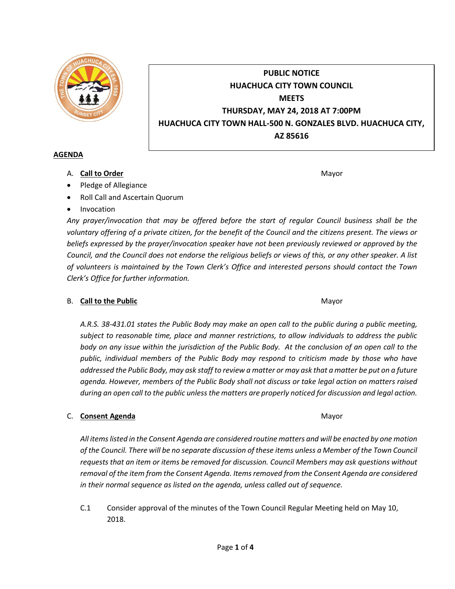

# **PUBLIC NOTICE HUACHUCA CITY TOWN COUNCIL MEETS THURSDAY, MAY 24, 2018 AT 7:00PM HUACHUCA CITY TOWN HALL-500 N. GONZALES BLVD. HUACHUCA CITY, AZ 85616**

#### **AGENDA**

A. **Call to Order** Mayor **Mayor** Mayor **Mayor** Mayor **Mayor** 

- Pledge of Allegiance
- Roll Call and Ascertain Quorum
- Invocation

*Any prayer/invocation that may be offered before the start of regular Council business shall be the voluntary offering of a private citizen, for the benefit of the Council and the citizens present. The views or beliefs expressed by the prayer/invocation speaker have not been previously reviewed or approved by the Council, and the Council does not endorse the religious beliefs or views of this, or any other speaker. A list of volunteers is maintained by the Town Clerk's Office and interested persons should contact the Town Clerk's Office for further information.*

## B. **Call to the Public** Mayor **Mayor** Mayor **Mayor** Mayor

*A.R.S. 38-431.01 states the Public Body may make an open call to the public during a public meeting, subject to reasonable time, place and manner restrictions, to allow individuals to address the public body on any issue within the jurisdiction of the Public Body. At the conclusion of an open call to the public, individual members of the Public Body may respond to criticism made by those who have addressed the Public Body, may ask staff to review a matter or may ask that a matter be put on a future agenda. However, members of the Public Body shall not discuss or take legal action on matters raised during an open call to the public unless the matters are properly noticed for discussion and legal action.*

## C. **Consent Agenda** Mayor **C. Consent Agenda** Mayor **Mayor**

*All items listed in the Consent Agenda are considered routine matters and will be enacted by one motion of the Council. There will be no separate discussion of these items unless a Member of the Town Council requests that an item or items be removed for discussion. Council Members may ask questions without removal of the item from the Consent Agenda. Items removed from the Consent Agenda are considered in their normal sequence as listed on the agenda, unless called out of sequence.*

C.1 Consider approval of the minutes of the Town Council Regular Meeting held on May 10, 2018.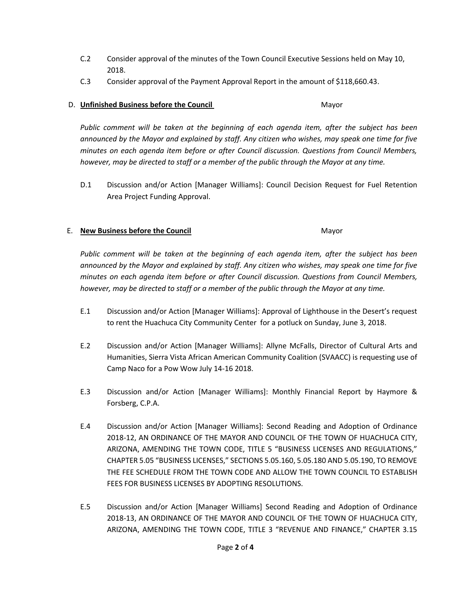- C.2 Consider approval of the minutes of the Town Council Executive Sessions held on May 10, 2018.
- C.3 Consider approval of the Payment Approval Report in the amount of \$118,660.43.

#### D. **Unfinished Business before the Council** Mayor

*Public comment will be taken at the beginning of each agenda item, after the subject has been announced by the Mayor and explained by staff. Any citizen who wishes, may speak one time for five minutes on each agenda item before or after Council discussion. Questions from Council Members, however, may be directed to staff or a member of the public through the Mayor at any time.*

D.1 Discussion and/or Action [Manager Williams]: Council Decision Request for Fuel Retention Area Project Funding Approval.

#### E. **New Business before the Council** Mayor

*Public comment will be taken at the beginning of each agenda item, after the subject has been announced by the Mayor and explained by staff. Any citizen who wishes, may speak one time for five minutes on each agenda item before or after Council discussion. Questions from Council Members, however, may be directed to staff or a member of the public through the Mayor at any time.*

- E.1 Discussion and/or Action [Manager Williams]: Approval of Lighthouse in the Desert's request to rent the Huachuca City Community Center for a potluck on Sunday, June 3, 2018.
- E.2 Discussion and/or Action [Manager Williams]: Allyne McFalls, Director of Cultural Arts and Humanities, Sierra Vista African American Community Coalition (SVAACC) is requesting use of Camp Naco for a Pow Wow July 14-16 2018.
- E.3 Discussion and/or Action [Manager Williams]: Monthly Financial Report by Haymore & Forsberg, C.P.A.
- E.4 Discussion and/or Action [Manager Williams]: Second Reading and Adoption of Ordinance 2018-12, AN ORDINANCE OF THE MAYOR AND COUNCIL OF THE TOWN OF HUACHUCA CITY, ARIZONA, AMENDING THE TOWN CODE, TITLE 5 "BUSINESS LICENSES AND REGULATIONS," CHAPTER 5.05 "BUSINESS LICENSES," SECTIONS 5.05.160, 5.05.180 AND 5.05.190, TO REMOVE THE FEE SCHEDULE FROM THE TOWN CODE AND ALLOW THE TOWN COUNCIL TO ESTABLISH FEES FOR BUSINESS LICENSES BY ADOPTING RESOLUTIONS.
- E.5 Discussion and/or Action [Manager Williams] Second Reading and Adoption of Ordinance 2018-13, AN ORDINANCE OF THE MAYOR AND COUNCIL OF THE TOWN OF HUACHUCA CITY, ARIZONA, AMENDING THE TOWN CODE, TITLE 3 "REVENUE AND FINANCE," CHAPTER 3.15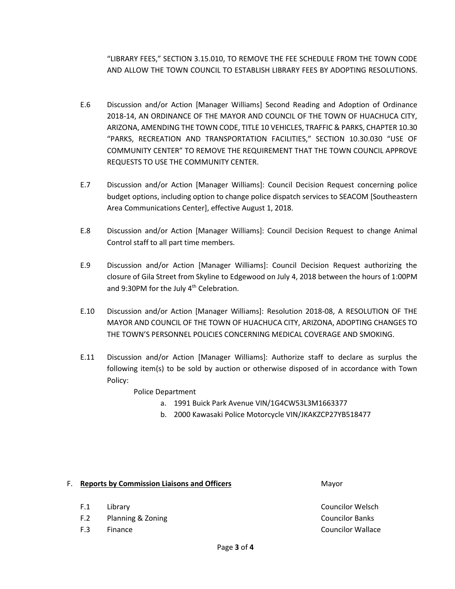"LIBRARY FEES," SECTION 3.15.010, TO REMOVE THE FEE SCHEDULE FROM THE TOWN CODE AND ALLOW THE TOWN COUNCIL TO ESTABLISH LIBRARY FEES BY ADOPTING RESOLUTIONS.

- E.6 Discussion and/or Action [Manager Williams] Second Reading and Adoption of Ordinance 2018-14, AN ORDINANCE OF THE MAYOR AND COUNCIL OF THE TOWN OF HUACHUCA CITY, ARIZONA, AMENDING THE TOWN CODE, TITLE 10 VEHICLES, TRAFFIC & PARKS, CHAPTER 10.30 "PARKS, RECREATION AND TRANSPORTATION FACILITIES," SECTION 10.30.030 "USE OF COMMUNITY CENTER" TO REMOVE THE REQUIREMENT THAT THE TOWN COUNCIL APPROVE REQUESTS TO USE THE COMMUNITY CENTER.
- E.7 Discussion and/or Action [Manager Williams]: Council Decision Request concerning police budget options, including option to change police dispatch services to SEACOM [Southeastern Area Communications Center], effective August 1, 2018.
- E.8 Discussion and/or Action [Manager Williams]: Council Decision Request to change Animal Control staff to all part time members.
- E.9 Discussion and/or Action [Manager Williams]: Council Decision Request authorizing the closure of Gila Street from Skyline to Edgewood on July 4, 2018 between the hours of 1:00PM and 9:30PM for the July 4<sup>th</sup> Celebration.
- E.10 Discussion and/or Action [Manager Williams]: Resolution 2018-08, A RESOLUTION OF THE MAYOR AND COUNCIL OF THE TOWN OF HUACHUCA CITY, ARIZONA, ADOPTING CHANGES TO THE TOWN'S PERSONNEL POLICIES CONCERNING MEDICAL COVERAGE AND SMOKING.
- E.11 Discussion and/or Action [Manager Williams]: Authorize staff to declare as surplus the following item(s) to be sold by auction or otherwise disposed of in accordance with Town Policy:

Police Department

- a. 1991 Buick Park Avenue VIN/1G4CW53L3M1663377
- b. 2000 Kawasaki Police Motorcycle VIN/JKAKZCP27YB518477

## F. **Reports by Commission Liaisons and Officers Mayor** Mayor

F.1 Library **Councilor Welsch** F.3 Finance **Councilor Wallace** Councilor Wallace

- 
- F.2 Planning & Zoning Councilor Banks
-